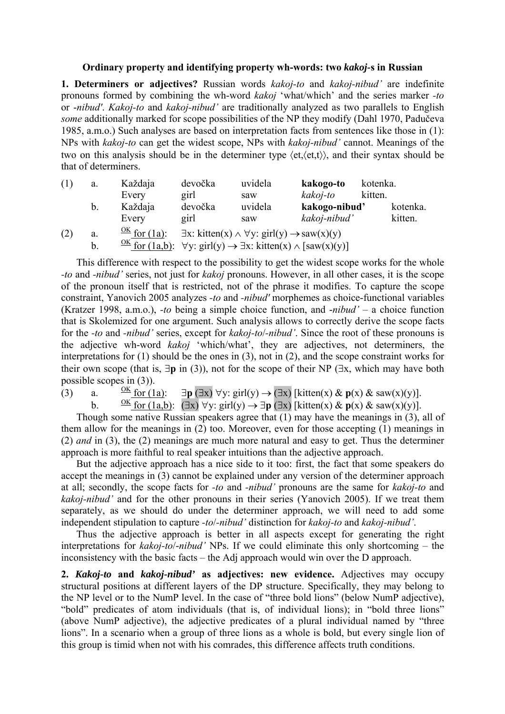## **Ordinary property and identifying property wh-words: two** *kakoj-***s in Russian**

**1. Determiners or adjectives?** Russian words *kakoj-to* and *kakoj-nibud'* are indefinite pronouns formed by combining the wh-word *kakoj* 'what/which' and the series marker *-to* or -*nibud'*. *Kakoj-to* and *kakoj-nibud'* are traditionally analyzed as two parallels to English *some* additionally marked for scope possibilities of the NP they modify (Dahl 1970, Padučeva 1985, a.m.o.) Such analyses are based on interpretation facts from sentences like those in (1): NPs with *kakoj-to* can get the widest scope, NPs with *kakoj-nibud'* cannot. Meanings of the two on this analysis should be in the determiner type 〈et,〈et,t〉〉, and their syntax should be that of determiners.

| (1) | a. | Každaja                       | devočka                                                                                      | uvidela | kakogo-to     | kotenka. |         |  |
|-----|----|-------------------------------|----------------------------------------------------------------------------------------------|---------|---------------|----------|---------|--|
|     |    | Every                         | girl                                                                                         | saw     | kakoj-to      | kitten.  |         |  |
|     | b. | Každaja                       | devočka                                                                                      | uvidela | kakogo-nibud' | kotenka. |         |  |
|     |    | Every                         | girl                                                                                         | saw     | kakoj-nibud'  |          | kitten. |  |
| (2) | a. | $\frac{OK}{C}$ for (1a):      | $\exists x: \text{kitten}(x) \land \forall y: \text{girl}(y) \rightarrow \text{saw}(x)(y)$   |         |               |          |         |  |
|     | b. | $\frac{OK}{ }$ for $(1a,b)$ : | $\forall y: \text{girl}(y) \rightarrow \exists x: \text{kitten}(x) \land [\text{saw}(x)(y)]$ |         |               |          |         |  |

This difference with respect to the possibility to get the widest scope works for the whole *-to* and *-nibud'* series, not just for *kakoj* pronouns. However, in all other cases, it is the scope of the pronoun itself that is restricted, not of the phrase it modifies. To capture the scope constraint, Yanovich 2005 analyzes *-to* and *-nibud'* morphemes as choice-functional variables (Kratzer 1998, a.m.o.), *-to* being a simple choice function, and -*nibud'* – a choice function that is Skolemized for one argument. Such analysis allows to correctly derive the scope facts for the *-to* and *-nibud'* series, except for *kakoj-to*/*-nibud'*. Since the root of these pronouns is the adjective wh-word *kakoj* 'which/what', they are adjectives, not determiners, the interpretations for (1) should be the ones in (3), not in (2), and the scope constraint works for their own scope (that is, ∃**p** in (3)), not for the scope of their NP (∃x, which may have both possible scopes in (3)).<br>(3) a.  $\frac{OK}{C}$  for (1a):

(3) a.  $\frac{OK}{ }$  for (1a):  $\exists p \, (\exists x) \, \forall y: \text{ girl}(y) \rightarrow (\exists x) \, [\text{kitten}(x) \, \& \, p(x) \, \& \, \text{saw}(x)(y)].$ 

b.  $\overline{OK}$  for (1a,b): (∃x)  $\forall y$ : girl(y)  $\rightarrow \exists p$  (∃x) [kitten(x) &  $p(x)$  & saw(x)(y)].

Though some native Russian speakers agree that (1) may have the meanings in (3), all of them allow for the meanings in (2) too. Moreover, even for those accepting (1) meanings in (2) *and* in (3), the (2) meanings are much more natural and easy to get. Thus the determiner approach is more faithful to real speaker intuitions than the adjective approach.

But the adjective approach has a nice side to it too: first, the fact that some speakers do accept the meanings in (3) cannot be explained under any version of the determiner approach at all; secondly, the scope facts for *-to* and *-nibud'* pronouns are the same for *kakoj-to* and *kakoj-nibud'* and for the other pronouns in their series (Yanovich 2005). If we treat them separately, as we should do under the determiner approach, we will need to add some independent stipulation to capture *-to*/*-nibud'* distinction for *kakoj-to* and *kakoj-nibud'*.

Thus the adjective approach is better in all aspects except for generating the right interpretations for *kakoj-to*/-*nibud'* NPs. If we could eliminate this only shortcoming – the inconsistency with the basic facts – the Adj approach would win over the D approach.

**2.** *Kakoj-to* **and** *kakoj-nibud'* **as adjectives: new evidence.** Adjectives may occupy structural positions at different layers of the DP structure. Specifically, they may belong to the NP level or to the NumP level. In the case of "three bold lions" (below NumP adjective), "bold" predicates of atom individuals (that is, of individual lions); in "bold three lions" (above NumP adjective), the adjective predicates of a plural individual named by "three lions". In a scenario when a group of three lions as a whole is bold, but every single lion of this group is timid when not with his comrades, this difference affects truth conditions.